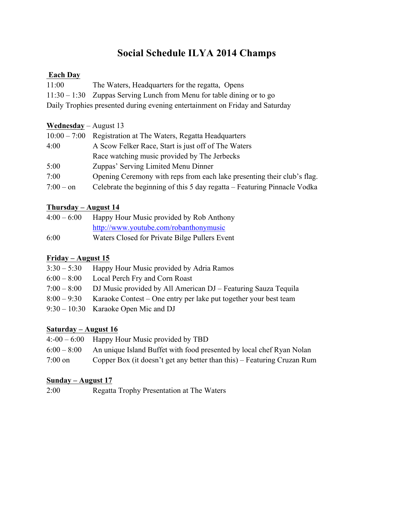# **Social Schedule ILYA 2014 Champs**

#### **Each Day**

| 11:00 | The Waters, Headquarters for the regatta, Opens                              |
|-------|------------------------------------------------------------------------------|
|       | $11:30 - 1:30$ Zuppas Serving Lunch from Menu for table dining or to go      |
|       | Daily Trophies presented during evening entertainment on Friday and Saturday |

#### **Wednesday** – August 13

| $10:00 - 7:00$ | Registration at The Waters, Regatta Headquarters                         |  |
|----------------|--------------------------------------------------------------------------|--|
| 4:00           | A Scow Felker Race, Start is just off of The Waters                      |  |
|                | Race watching music provided by The Jerbecks                             |  |
| 5:00           | Zuppas' Serving Limited Menu Dinner                                      |  |
| 7:00           | Opening Ceremony with reps from each lake presenting their club's flag.  |  |
| $7:00 - on$    | Celebrate the beginning of this 5 day regatta – Featuring Pinnacle Vodka |  |

## **Thursday – August 14**

| $4:00-6:00$ | Happy Hour Music provided by Rob Anthony      |
|-------------|-----------------------------------------------|
|             | http://www.youtube.com/robanthonymusic        |
| 6:00        | Waters Closed for Private Bilge Pullers Event |

## **Friday – August 15**

| $3:30 - 5:30$ | Happy Hour Music provided by Adria Ramos                         |
|---------------|------------------------------------------------------------------|
| $6:00 - 8:00$ | Local Perch Fry and Corn Roast                                   |
| $7:00 - 8:00$ | DJ Music provided by All American DJ – Featuring Sauza Tequila   |
| $8:00 - 9:30$ | Karaoke Contest – One entry per lake put together your best team |
|               | $9:30 - 10:30$ Karaoke Open Mic and DJ                           |

## **Saturday – August 16**

|           | $4: -00 - 6:00$ Happy Hour Music provided by TBD                                   |
|-----------|------------------------------------------------------------------------------------|
|           | $6:00 - 8:00$ An unique Island Buffet with food presented by local chef Ryan Nolan |
| $7:00$ on | Copper Box (it doesn't get any better than this) – Featuring Cruzan Rum            |

#### **Sunday – August 17**

2:00 Regatta Trophy Presentation at The Waters